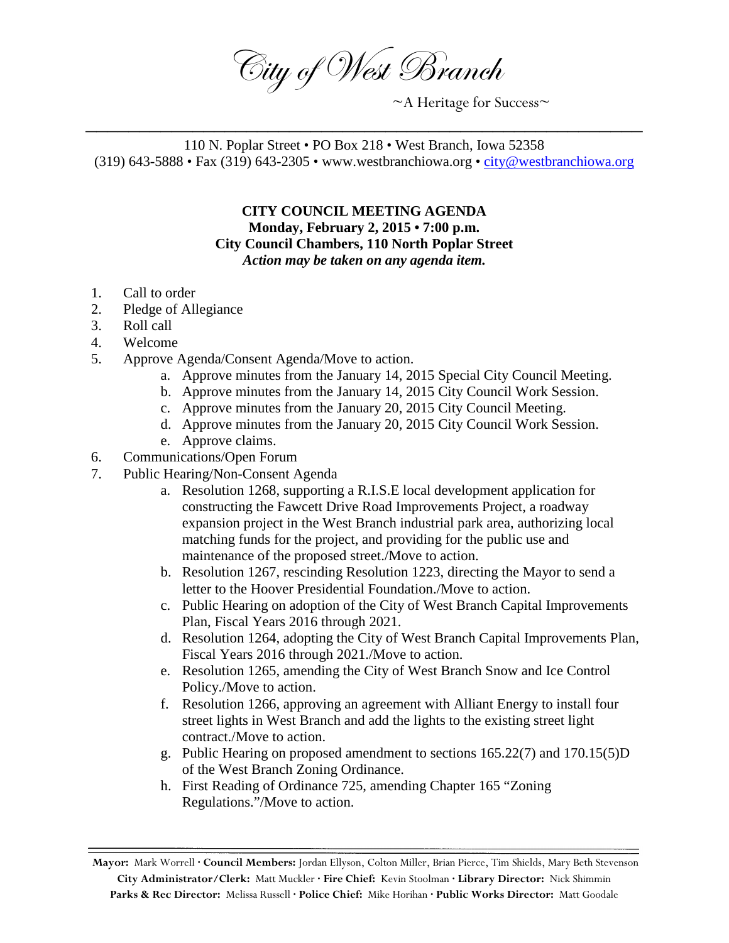City of West Branch

 $~\sim$ A Heritage for Success $\sim$ 

110 N. Poplar Street • PO Box 218 • West Branch, Iowa 52358 (319) 643-5888 • Fax (319) 643-2305 • www.westbranchiowa.org • [city@westbranchiowa.org](mailto:city@westbranchiowa.org)

\_\_\_\_\_\_\_\_\_\_\_\_\_\_\_\_\_\_\_\_\_\_\_\_\_\_\_\_\_\_\_\_\_\_\_\_\_\_\_\_\_\_\_\_\_\_\_\_\_\_\_\_

**CITY COUNCIL MEETING AGENDA Monday, February 2, 2015 • 7:00 p.m. City Council Chambers, 110 North Poplar Street** *Action may be taken on any agenda item.*

- 1. Call to order
- 2. Pledge of Allegiance
- 3. Roll call
- 4. Welcome
- 5. Approve Agenda/Consent Agenda/Move to action.
	- a. Approve minutes from the January 14, 2015 Special City Council Meeting.
	- b. Approve minutes from the January 14, 2015 City Council Work Session.
	- c. Approve minutes from the January 20, 2015 City Council Meeting.
	- d. Approve minutes from the January 20, 2015 City Council Work Session.
	- e. Approve claims.
- 6. Communications/Open Forum
- 7. Public Hearing/Non-Consent Agenda
	- a. Resolution 1268, supporting a R.I.S.E local development application for constructing the Fawcett Drive Road Improvements Project, a roadway expansion project in the West Branch industrial park area, authorizing local matching funds for the project, and providing for the public use and maintenance of the proposed street./Move to action.
	- b. Resolution 1267, rescinding Resolution 1223, directing the Mayor to send a letter to the Hoover Presidential Foundation./Move to action.
	- c. Public Hearing on adoption of the City of West Branch Capital Improvements Plan, Fiscal Years 2016 through 2021.
	- d. Resolution 1264, adopting the City of West Branch Capital Improvements Plan, Fiscal Years 2016 through 2021./Move to action.
	- e. Resolution 1265, amending the City of West Branch Snow and Ice Control Policy./Move to action.
	- f. Resolution 1266, approving an agreement with Alliant Energy to install four street lights in West Branch and add the lights to the existing street light contract./Move to action.
	- g. Public Hearing on proposed amendment to sections 165.22(7) and 170.15(5)D of the West Branch Zoning Ordinance.
	- h. First Reading of Ordinance 725, amending Chapter 165 "Zoning Regulations."/Move to action.

**Mayor:** Mark Worrell **· Council Members:** Jordan Ellyson, Colton Miller, Brian Pierce, Tim Shields, Mary Beth Stevenson **City Administrator/Clerk:** Matt Muckler **· Fire Chief:** Kevin Stoolman **· Library Director:** Nick Shimmin **Parks & Rec Director:** Melissa Russell **· Police Chief:** Mike Horihan **· Public Works Director:** Matt Goodale